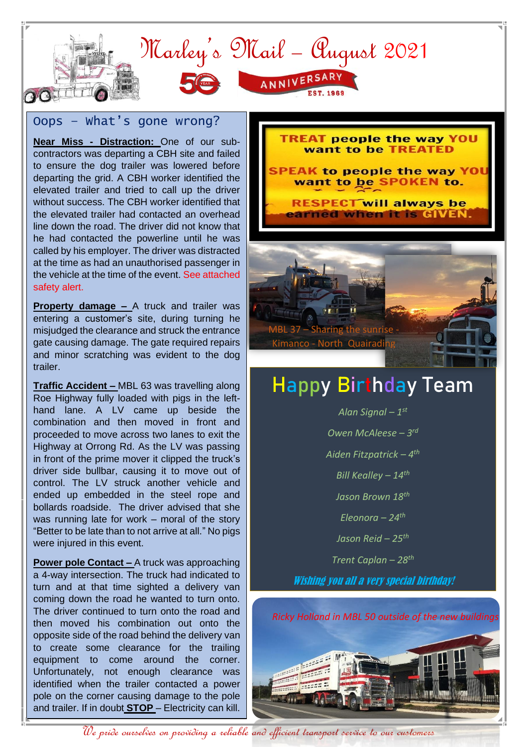

## Oops – What's gone wrong?

**Near Miss - Distraction:** One of our subcontractors was departing a CBH site and failed to ensure the dog trailer was lowered before departing the grid. A CBH worker identified the elevated trailer and tried to call up the driver without success. The CBH worker identified that the elevated trailer had contacted an overhead line down the road. The driver did not know that he had contacted the powerline until he was called by his employer. The driver was distracted at the time as had an unauthorised passenger in the vehicle at the time of the event. See attached safety alert.

**Property damage –** A truck and trailer was entering a customer's site, during turning he misjudged the clearance and struck the entrance gate causing damage. The gate required repairs and minor scratching was evident to the dog trailer.

**Traffic Accident –** MBL 63 was travelling along Roe Highway fully loaded with pigs in the lefthand lane. A LV came up beside the combination and then moved in front and proceeded to move across two lanes to exit the Highway at Orrong Rd. As the LV was passing in front of the prime mover it clipped the truck's driver side bullbar, causing it to move out of control. The LV struck another vehicle and ended up embedded in the steel rope and bollards roadside. The driver advised that she was running late for work – moral of the story "Better to be late than to not arrive at all." No pigs were injured in this event.

**Power pole Contact –** A truck was approaching a 4-way intersection. The truck had indicated to turn and at that time sighted a delivery van coming down the road he wanted to turn onto. The driver continued to turn onto the road and then moved his combination out onto the opposite side of the road behind the delivery van to create some clearance for the trailing equipment to come around the corner. Unfortunately, not enough clearance was identified when the trailer contacted a power pole on the corner causing damage to the pole and trailer. If in doubt **STOP** – Electricity can kill.



# Happy Birthday Team

*Alan Signal – 1 st Owen McAleese – 3 rd Aiden Fitzpatrick – 4 th Bill Kealley – 14th Jason Brown 18th Eleonora – 24th Jason Reid – 25th Trent Caplan – 28th* Wishing you all a very special birthday!

*Ricky Holland in MBL 50 outside of the new buildings*



We pride ourselves on providing a reliable and efficient transport service to our customers